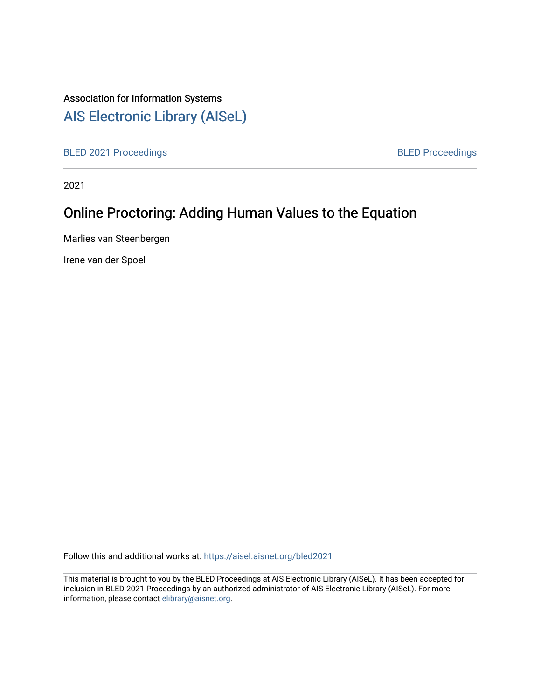## Association for Information Systems

# [AIS Electronic Library \(AISeL\)](https://aisel.aisnet.org/)

[BLED 2021 Proceedings](https://aisel.aisnet.org/bled2021) **BLED Proceedings** 

2021

# Online Proctoring: Adding Human Values to the Equation

Marlies van Steenbergen

Irene van der Spoel

Follow this and additional works at: [https://aisel.aisnet.org/bled2021](https://aisel.aisnet.org/bled2021?utm_source=aisel.aisnet.org%2Fbled2021%2F44&utm_medium=PDF&utm_campaign=PDFCoverPages) 

This material is brought to you by the BLED Proceedings at AIS Electronic Library (AISeL). It has been accepted for inclusion in BLED 2021 Proceedings by an authorized administrator of AIS Electronic Library (AISeL). For more information, please contact [elibrary@aisnet.org.](mailto:elibrary@aisnet.org%3E)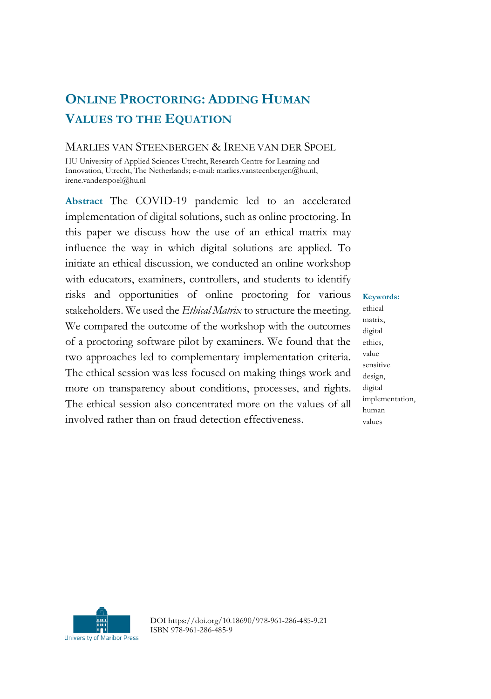## **ONLINE PROCTORING: ADDING HUMAN VALUES TO THE EQUATION**

#### MARLIES VAN STEENBERGEN & IRENE VAN DER SPOEL

HU University of Applied Sciences Utrecht, Research Centre for Learning and Innovation, Utrecht, The Netherlands; e-mail: marlies.vansteenbergen@hu.nl, irene.vanderspoel@hu.nl

**Abstract** The COVID-19 pandemic led to an accelerated implementation of digital solutions, such as online proctoring. In this paper we discuss how the use of an ethical matrix may influence the way in which digital solutions are applied. To initiate an ethical discussion, we conducted an online workshop with educators, examiners, controllers, and students to identify risks and opportunities of online proctoring for various stakeholders. We used the *Ethical Matrix* to structure the meeting. We compared the outcome of the workshop with the outcomes of a proctoring software pilot by examiners. We found that the two approaches led to complementary implementation criteria. The ethical session was less focused on making things work and more on transparency about conditions, processes, and rights. The ethical session also concentrated more on the values of all involved rather than on fraud detection effectiveness.

**Keywords:** ethical matrix, digital ethics, value sensitive design, digital implementation, human values



DOI https://doi.org/10.18690/978-961-286-485-9.21 ISBN 978-961-286-485-9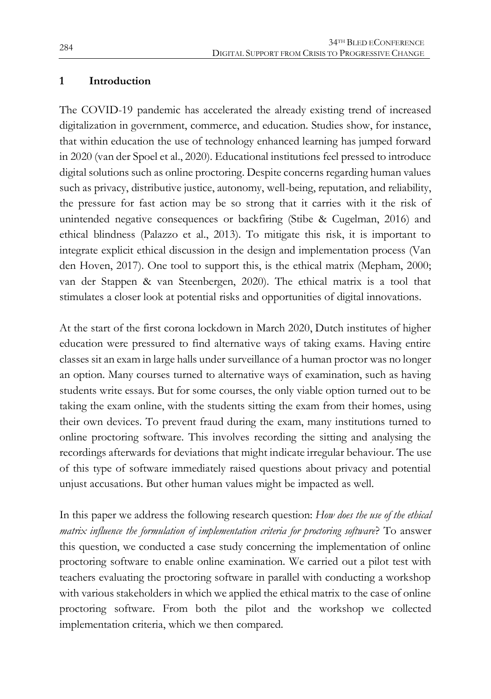#### **1 Introduction**

The COVID-19 pandemic has accelerated the already existing trend of increased digitalization in government, commerce, and education. Studies show, for instance, that within education the use of technology enhanced learning has jumped forward in 2020 (van der Spoel et al., 2020). Educational institutions feel pressed to introduce digital solutions such as online proctoring. Despite concerns regarding human values such as privacy, distributive justice, autonomy, well-being, reputation, and reliability, the pressure for fast action may be so strong that it carries with it the risk of unintended negative consequences or backfiring (Stibe & Cugelman, 2016) and ethical blindness (Palazzo et al., 2013). To mitigate this risk, it is important to integrate explicit ethical discussion in the design and implementation process (Van den Hoven, 2017). One tool to support this, is the ethical matrix (Mepham, 2000; van der Stappen & van Steenbergen, 2020). The ethical matrix is a tool that stimulates a closer look at potential risks and opportunities of digital innovations.

At the start of the first corona lockdown in March 2020, Dutch institutes of higher education were pressured to find alternative ways of taking exams. Having entire classes sit an exam in large halls under surveillance of a human proctor was no longer an option. Many courses turned to alternative ways of examination, such as having students write essays. But for some courses, the only viable option turned out to be taking the exam online, with the students sitting the exam from their homes, using their own devices. To prevent fraud during the exam, many institutions turned to online proctoring software. This involves recording the sitting and analysing the recordings afterwards for deviations that might indicate irregular behaviour. The use of this type of software immediately raised questions about privacy and potential unjust accusations. But other human values might be impacted as well.

In this paper we address the following research question: *How does the use of the ethical matrix influence the formulation of implementation criteria for proctoring software*? To answer this question, we conducted a case study concerning the implementation of online proctoring software to enable online examination. We carried out a pilot test with teachers evaluating the proctoring software in parallel with conducting a workshop with various stakeholders in which we applied the ethical matrix to the case of online proctoring software. From both the pilot and the workshop we collected implementation criteria, which we then compared.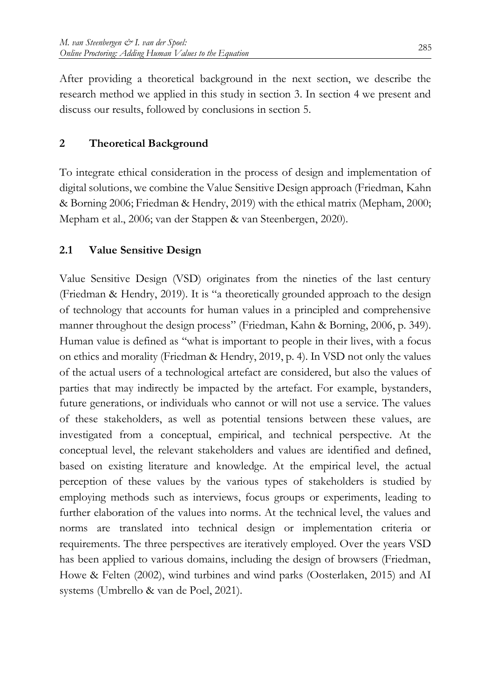After providing a theoretical background in the next section, we describe the research method we applied in this study in section 3. In section 4 we present and discuss our results, followed by conclusions in section 5.

## **2 Theoretical Background**

To integrate ethical consideration in the process of design and implementation of digital solutions, we combine the Value Sensitive Design approach (Friedman, Kahn & Borning 2006; Friedman & Hendry, 2019) with the ethical matrix (Mepham, 2000; Mepham et al., 2006; van der Stappen & van Steenbergen, 2020).

## **2.1 Value Sensitive Design**

Value Sensitive Design (VSD) originates from the nineties of the last century (Friedman & Hendry, 2019). It is "a theoretically grounded approach to the design of technology that accounts for human values in a principled and comprehensive manner throughout the design process" (Friedman, Kahn & Borning, 2006, p. 349). Human value is defined as "what is important to people in their lives, with a focus on ethics and morality (Friedman & Hendry, 2019, p. 4). In VSD not only the values of the actual users of a technological artefact are considered, but also the values of parties that may indirectly be impacted by the artefact. For example, bystanders, future generations, or individuals who cannot or will not use a service. The values of these stakeholders, as well as potential tensions between these values, are investigated from a conceptual, empirical, and technical perspective. At the conceptual level, the relevant stakeholders and values are identified and defined, based on existing literature and knowledge. At the empirical level, the actual perception of these values by the various types of stakeholders is studied by employing methods such as interviews, focus groups or experiments, leading to further elaboration of the values into norms. At the technical level, the values and norms are translated into technical design or implementation criteria or requirements. The three perspectives are iteratively employed. Over the years VSD has been applied to various domains, including the design of browsers (Friedman, Howe & Felten (2002), wind turbines and wind parks (Oosterlaken, 2015) and AI systems (Umbrello & van de Poel, 2021).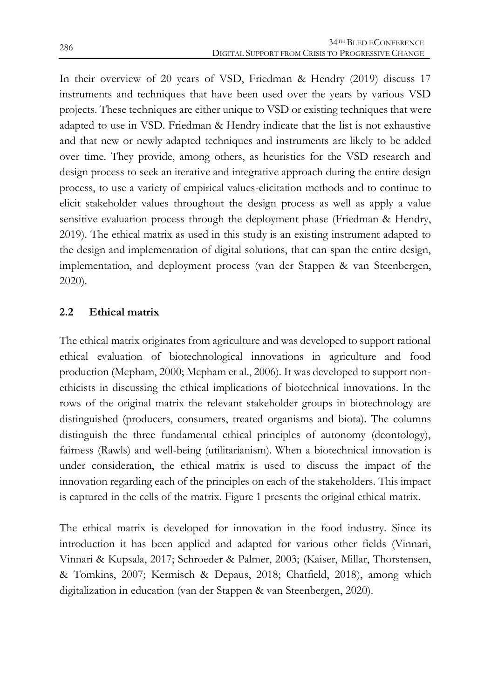In their overview of 20 years of VSD, Friedman & Hendry (2019) discuss 17 instruments and techniques that have been used over the years by various VSD projects. These techniques are either unique to VSD or existing techniques that were adapted to use in VSD. Friedman & Hendry indicate that the list is not exhaustive and that new or newly adapted techniques and instruments are likely to be added over time. They provide, among others, as heuristics for the VSD research and design process to seek an iterative and integrative approach during the entire design process, to use a variety of empirical values-elicitation methods and to continue to elicit stakeholder values throughout the design process as well as apply a value sensitive evaluation process through the deployment phase (Friedman & Hendry, 2019). The ethical matrix as used in this study is an existing instrument adapted to the design and implementation of digital solutions, that can span the entire design, implementation, and deployment process (van der Stappen & van Steenbergen, 2020).

## **2.2 Ethical matrix**

The ethical matrix originates from agriculture and was developed to support rational ethical evaluation of biotechnological innovations in agriculture and food production (Mepham, 2000; Mepham et al., 2006). It was developed to support nonethicists in discussing the ethical implications of biotechnical innovations. In the rows of the original matrix the relevant stakeholder groups in biotechnology are distinguished (producers, consumers, treated organisms and biota). The columns distinguish the three fundamental ethical principles of autonomy (deontology), fairness (Rawls) and well-being (utilitarianism). When a biotechnical innovation is under consideration, the ethical matrix is used to discuss the impact of the innovation regarding each of the principles on each of the stakeholders. This impact is captured in the cells of the matrix. Figure 1 presents the original ethical matrix.

The ethical matrix is developed for innovation in the food industry. Since its introduction it has been applied and adapted for various other fields (Vinnari, Vinnari & Kupsala, 2017; Schroeder & Palmer, 2003; (Kaiser, Millar, Thorstensen, & Tomkins, 2007; Kermisch & Depaus, 2018; Chatfield, 2018), among which digitalization in education (van der Stappen & van Steenbergen, 2020).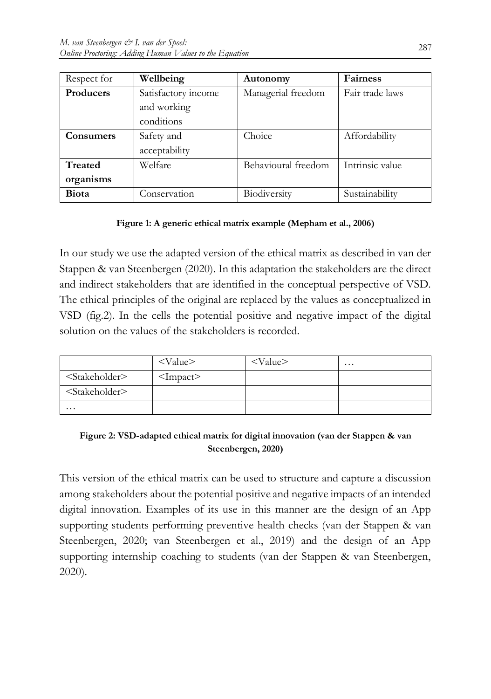| Respect for      | Wellbeing           | Autonomy            | <b>Fairness</b> |
|------------------|---------------------|---------------------|-----------------|
| <b>Producers</b> | Satisfactory income | Managerial freedom  | Fair trade laws |
|                  | and working         |                     |                 |
|                  | conditions          |                     |                 |
| <b>Consumers</b> | Safety and          | Choice              | Affordability   |
|                  | acceptability       |                     |                 |
| Treated          | Welfare             | Behavioural freedom | Intrinsic value |
| organisms        |                     |                     |                 |
| <b>Biota</b>     | Conservation        | Biodiversity        | Sustainability  |

#### **Figure 1: A generic ethical matrix example (Mepham et al., 2006)**

In our study we use the adapted version of the ethical matrix as described in van der Stappen & van Steenbergen (2020). In this adaptation the stakeholders are the direct and indirect stakeholders that are identified in the conceptual perspective of VSD. The ethical principles of the original are replaced by the values as conceptualized in VSD (fig.2). In the cells the potential positive and negative impact of the digital solution on the values of the stakeholders is recorded.

|                             | $<$ Value $>$              | $<$ Value $>$ | $\cdots$ |
|-----------------------------|----------------------------|---------------|----------|
| <stakeholder></stakeholder> | $\langle$ Impact $\rangle$ |               |          |
| <stakeholder></stakeholder> |                            |               |          |
| $\cdots$                    |                            |               |          |

#### **Figure 2: VSD-adapted ethical matrix for digital innovation (van der Stappen & van Steenbergen, 2020)**

This version of the ethical matrix can be used to structure and capture a discussion among stakeholders about the potential positive and negative impacts of an intended digital innovation. Examples of its use in this manner are the design of an App supporting students performing preventive health checks (van der Stappen & van Steenbergen, 2020; van Steenbergen et al., 2019) and the design of an App supporting internship coaching to students (van der Stappen & van Steenbergen, 2020).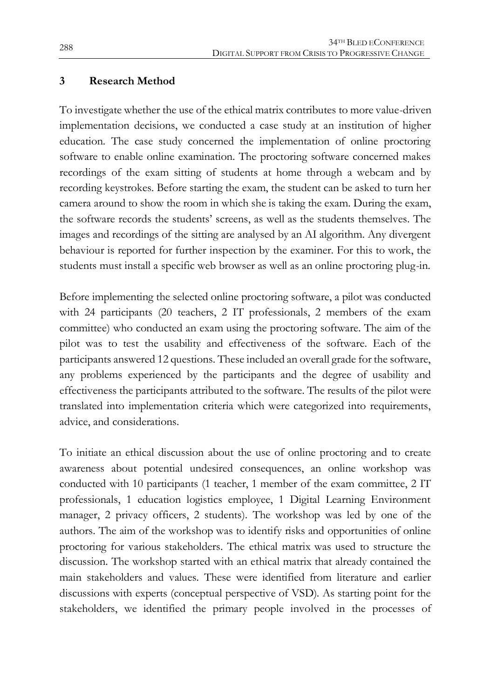#### **3 Research Method**

To investigate whether the use of the ethical matrix contributes to more value-driven implementation decisions, we conducted a case study at an institution of higher education. The case study concerned the implementation of online proctoring software to enable online examination. The proctoring software concerned makes recordings of the exam sitting of students at home through a webcam and by recording keystrokes. Before starting the exam, the student can be asked to turn her camera around to show the room in which she is taking the exam. During the exam, the software records the students' screens, as well as the students themselves. The images and recordings of the sitting are analysed by an AI algorithm. Any divergent behaviour is reported for further inspection by the examiner. For this to work, the students must install a specific web browser as well as an online proctoring plug-in.

Before implementing the selected online proctoring software, a pilot was conducted with 24 participants (20 teachers, 2 IT professionals, 2 members of the exam committee) who conducted an exam using the proctoring software. The aim of the pilot was to test the usability and effectiveness of the software. Each of the participants answered 12 questions. These included an overall grade for the software, any problems experienced by the participants and the degree of usability and effectiveness the participants attributed to the software. The results of the pilot were translated into implementation criteria which were categorized into requirements, advice, and considerations.

To initiate an ethical discussion about the use of online proctoring and to create awareness about potential undesired consequences, an online workshop was conducted with 10 participants (1 teacher, 1 member of the exam committee, 2 IT professionals, 1 education logistics employee, 1 Digital Learning Environment manager, 2 privacy officers, 2 students). The workshop was led by one of the authors. The aim of the workshop was to identify risks and opportunities of online proctoring for various stakeholders. The ethical matrix was used to structure the discussion. The workshop started with an ethical matrix that already contained the main stakeholders and values. These were identified from literature and earlier discussions with experts (conceptual perspective of VSD). As starting point for the stakeholders, we identified the primary people involved in the processes of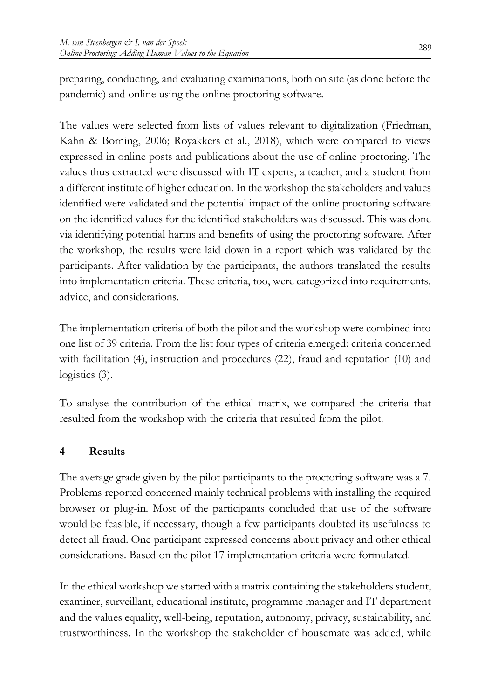preparing, conducting, and evaluating examinations, both on site (as done before the pandemic) and online using the online proctoring software.

The values were selected from lists of values relevant to digitalization (Friedman, Kahn & Borning, 2006; Royakkers et al., 2018), which were compared to views expressed in online posts and publications about the use of online proctoring. The values thus extracted were discussed with IT experts, a teacher, and a student from a different institute of higher education. In the workshop the stakeholders and values identified were validated and the potential impact of the online proctoring software on the identified values for the identified stakeholders was discussed. This was done via identifying potential harms and benefits of using the proctoring software. After the workshop, the results were laid down in a report which was validated by the participants. After validation by the participants, the authors translated the results into implementation criteria. These criteria, too, were categorized into requirements, advice, and considerations.

The implementation criteria of both the pilot and the workshop were combined into one list of 39 criteria. From the list four types of criteria emerged: criteria concerned with facilitation (4), instruction and procedures (22), fraud and reputation (10) and logistics  $(3)$ .

To analyse the contribution of the ethical matrix, we compared the criteria that resulted from the workshop with the criteria that resulted from the pilot.

## **4 Results**

The average grade given by the pilot participants to the proctoring software was a 7. Problems reported concerned mainly technical problems with installing the required browser or plug-in. Most of the participants concluded that use of the software would be feasible, if necessary, though a few participants doubted its usefulness to detect all fraud. One participant expressed concerns about privacy and other ethical considerations. Based on the pilot 17 implementation criteria were formulated.

In the ethical workshop we started with a matrix containing the stakeholders student, examiner, surveillant, educational institute, programme manager and IT department and the values equality, well-being, reputation, autonomy, privacy, sustainability, and trustworthiness. In the workshop the stakeholder of housemate was added, while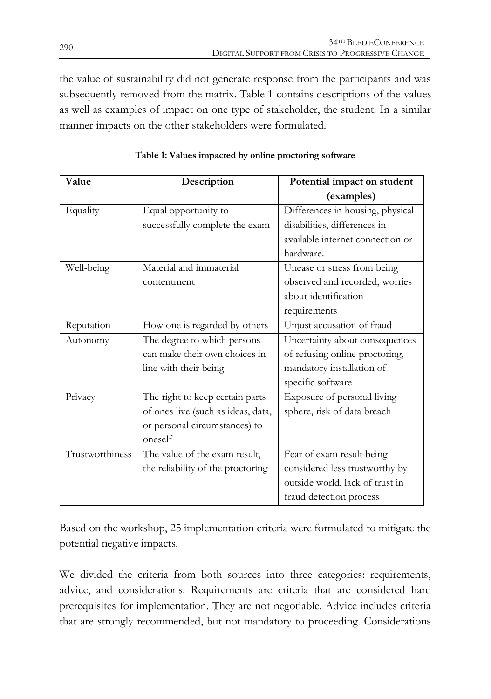the value of sustainability did not generate response from the participants and was subsequently removed from the matrix. Table 1 contains descriptions of the values as well as examples of impact on one type of stakeholder, the student. In a similar manner impacts on the other stakeholders were formulated.

| Value           | Description                        | Potential impact on student      |
|-----------------|------------------------------------|----------------------------------|
|                 |                                    | (examples)                       |
| Equality        | Equal opportunity to               | Differences in housing, physical |
|                 | successfully complete the exam     | disabilities, differences in     |
|                 |                                    | available internet connection or |
|                 |                                    | hardware.                        |
| Well-being      | Material and immaterial            | Unease or stress from being      |
|                 | contentment                        | observed and recorded, wornes    |
|                 |                                    | about identification             |
|                 |                                    | requirements                     |
| Reputation      | How one is regarded by others      | Unjust accusation of fraud       |
| Autonomy        | The degree to which persons        | Uncertainty about consequences   |
|                 | can make their own choices in      | of refusing online proctoring,   |
|                 | line with their being              | mandatory installation of        |
|                 |                                    | specific software                |
| Privacy         | The right to keep certain parts    | Exposure of personal living      |
|                 | of ones live (such as ideas, data, | sphere, risk of data breach      |
|                 | or personal circumstances) to      |                                  |
|                 | oneself                            |                                  |
| Trustworthiness | The value of the exam result,      | Fear of exam result being        |
|                 | the reliability of the proctoring  | considered less trustworthy by   |
|                 |                                    | outside world, lack of trust in  |
|                 |                                    | fraud detection process          |

**Table 1: Values impacted by online proctoring software**

Based on the workshop, 25 implementation criteria were formulated to mitigate the potential negative impacts.

We divided the criteria from both sources into three categories: requirements, advice, and considerations. Requirements are criteria that are considered hard prerequisites for implementation. They are not negotiable. Advice includes criteria that are strongly recommended, but not mandatory to proceeding. Considerations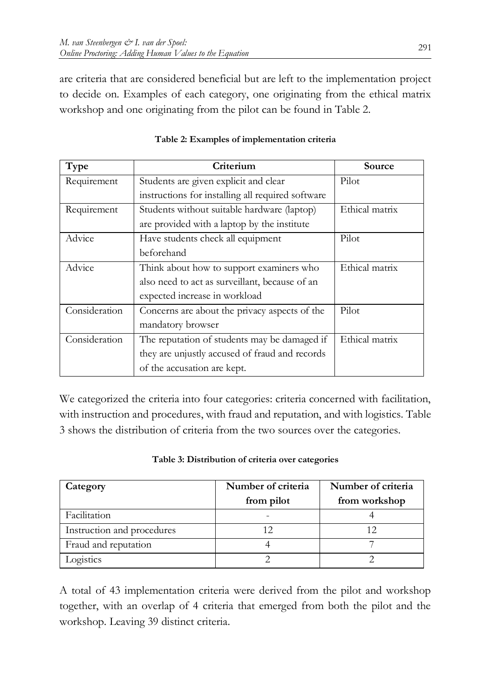are criteria that are considered beneficial but are left to the implementation project to decide on. Examples of each category, one originating from the ethical matrix workshop and one originating from the pilot can be found in Table 2.

| Type          | Criterium                                         | Source         |
|---------------|---------------------------------------------------|----------------|
| Requirement   | Students are given explicit and clear             | Pilot          |
|               | instructions for installing all required software |                |
| Requirement   | Students without suitable hardware (laptop)       | Ethical matrix |
|               | are provided with a laptop by the institute       |                |
| Advice        | Have students check all equipment                 | Pilot          |
|               | beforehand                                        |                |
| Advice        | Think about how to support examiners who          | Ethical matrix |
|               | also need to act as surveillant, because of an    |                |
|               | expected increase in workload                     |                |
| Consideration | Concerns are about the privacy aspects of the     | Pilot          |
|               | mandatory browser                                 |                |
| Consideration | The reputation of students may be damaged if      | Ethical matrix |
|               | they are unjustly accused of fraud and records    |                |
|               | of the accusation are kept.                       |                |

|  | Table 2: Examples of implementation criteria |
|--|----------------------------------------------|
|--|----------------------------------------------|

We categorized the criteria into four categories: criteria concerned with facilitation, with instruction and procedures, with fraud and reputation, and with logistics. Table 3 shows the distribution of criteria from the two sources over the categories.

|  | Table 3: Distribution of criteria over categories |
|--|---------------------------------------------------|
|--|---------------------------------------------------|

| Category                   | Number of criteria | Number of criteria<br>from workshop |
|----------------------------|--------------------|-------------------------------------|
|                            | from pilot         |                                     |
| Facilitation               |                    |                                     |
| Instruction and procedures |                    |                                     |
| Fraud and reputation       |                    |                                     |
| Logistics                  |                    |                                     |

A total of 43 implementation criteria were derived from the pilot and workshop together, with an overlap of 4 criteria that emerged from both the pilot and the workshop. Leaving 39 distinct criteria.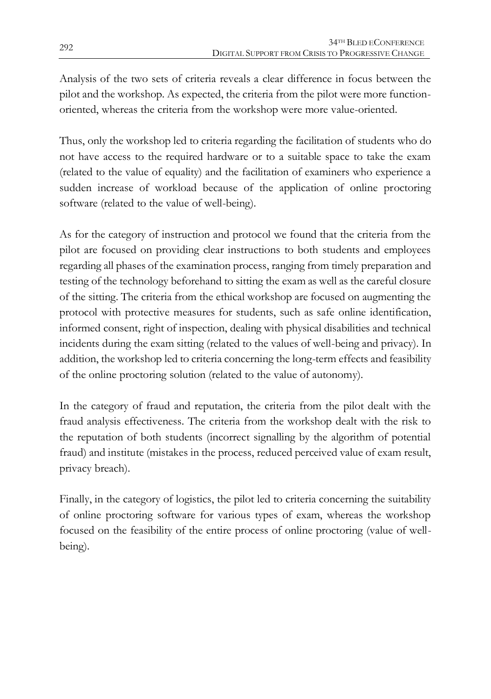Analysis of the two sets of criteria reveals a clear difference in focus between the pilot and the workshop. As expected, the criteria from the pilot were more functionoriented, whereas the criteria from the workshop were more value-oriented.

Thus, only the workshop led to criteria regarding the facilitation of students who do not have access to the required hardware or to a suitable space to take the exam (related to the value of equality) and the facilitation of examiners who experience a sudden increase of workload because of the application of online proctoring software (related to the value of well-being).

As for the category of instruction and protocol we found that the criteria from the pilot are focused on providing clear instructions to both students and employees regarding all phases of the examination process, ranging from timely preparation and testing of the technology beforehand to sitting the exam as well as the careful closure of the sitting. The criteria from the ethical workshop are focused on augmenting the protocol with protective measures for students, such as safe online identification, informed consent, right of inspection, dealing with physical disabilities and technical incidents during the exam sitting (related to the values of well-being and privacy). In addition, the workshop led to criteria concerning the long-term effects and feasibility of the online proctoring solution (related to the value of autonomy).

In the category of fraud and reputation, the criteria from the pilot dealt with the fraud analysis effectiveness. The criteria from the workshop dealt with the risk to the reputation of both students (incorrect signalling by the algorithm of potential fraud) and institute (mistakes in the process, reduced perceived value of exam result, privacy breach).

Finally, in the category of logistics, the pilot led to criteria concerning the suitability of online proctoring software for various types of exam, whereas the workshop focused on the feasibility of the entire process of online proctoring (value of wellbeing).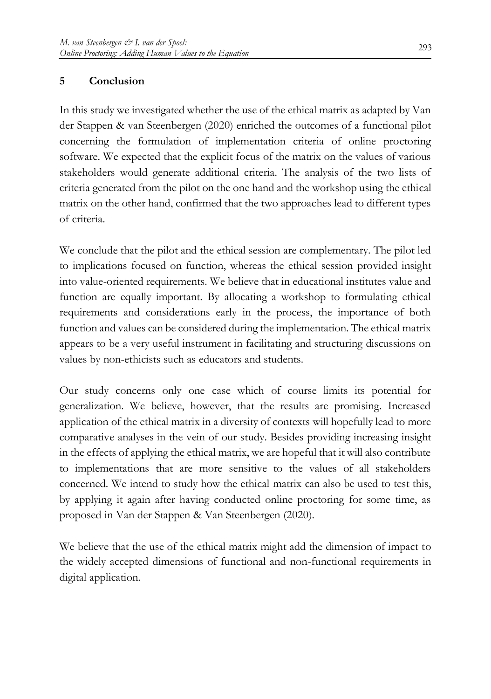## **5 Conclusion**

In this study we investigated whether the use of the ethical matrix as adapted by Van der Stappen & van Steenbergen (2020) enriched the outcomes of a functional pilot concerning the formulation of implementation criteria of online proctoring software. We expected that the explicit focus of the matrix on the values of various stakeholders would generate additional criteria. The analysis of the two lists of criteria generated from the pilot on the one hand and the workshop using the ethical matrix on the other hand, confirmed that the two approaches lead to different types of criteria.

We conclude that the pilot and the ethical session are complementary. The pilot led to implications focused on function, whereas the ethical session provided insight into value-oriented requirements. We believe that in educational institutes value and function are equally important. By allocating a workshop to formulating ethical requirements and considerations early in the process, the importance of both function and values can be considered during the implementation. The ethical matrix appears to be a very useful instrument in facilitating and structuring discussions on values by non-ethicists such as educators and students.

Our study concerns only one case which of course limits its potential for generalization. We believe, however, that the results are promising. Increased application of the ethical matrix in a diversity of contexts will hopefully lead to more comparative analyses in the vein of our study. Besides providing increasing insight in the effects of applying the ethical matrix, we are hopeful that it will also contribute to implementations that are more sensitive to the values of all stakeholders concerned. We intend to study how the ethical matrix can also be used to test this, by applying it again after having conducted online proctoring for some time, as proposed in Van der Stappen & Van Steenbergen (2020).

We believe that the use of the ethical matrix might add the dimension of impact to the widely accepted dimensions of functional and non-functional requirements in digital application.